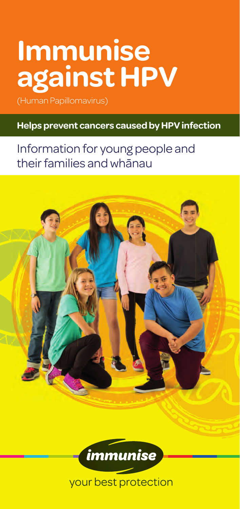# **Immunise against HPV**

(Human Papillomavirus)

#### **Helps prevent cancers caused by HPV infection**

# Information for young people and their families and whānau



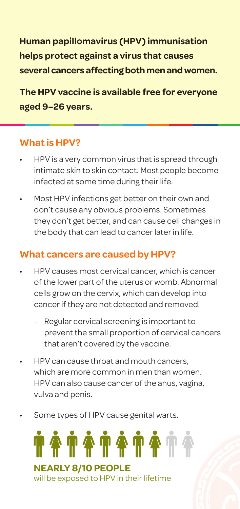**Human papillomavirus (HPV) immunisation helps protect against a virus that causes several cancers affecting both men and women.** 

**The HPV vaccine is available free for everyone aged 9–26 years.**

#### **What is HPV?**

- HPV is a very common virus that is spread through intimate skin to skin contact. Most people become infected at some time during their life.
- Most HPV infections get better on their own and don't cause any obvious problems. Sometimes they don't get better, and can cause cell changes in the body that can lead to cancer later in life.

#### **What cancers are caused by HPV?**

- HPV causes most cervical cancer, which is cancer of the lower part of the uterus or womb. Abnormal cells grow on the cervix, which can develop into cancer if they are not detected and removed.
	- Regular cervical screening is important to prevent the small proportion of cervical cancers that aren't covered by the vaccine.
- HPV can cause throat and mouth cancers, which are more common in men than women. HPV can also cause cancer of the anus, vagina, vulva and penis.
- Some types of HPV cause genital warts.

########## **NEARLY 8/10 PEOPLE** will be exposed to HPV in their lifetime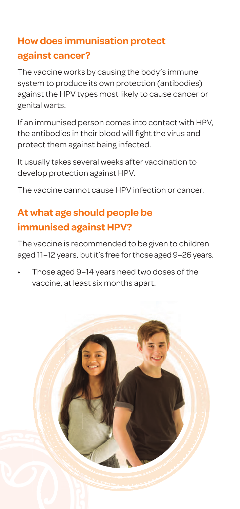## **How does immunisation protect against cancer?**

The vaccine works by causing the body's immune system to produce its own protection (antibodies) against the HPV types most likely to cause cancer or genital warts.

If an immunised person comes into contact with HPV, the antibodies in their blood will fight the virus and protect them against being infected.

It usually takes several weeks after vaccination to develop protection against HPV.

The vaccine cannot cause HPV infection or cancer.

# **At what age should people be immunised against HPV?**

The vaccine is recommended to be given to children aged 11–12 years, but it's free for those aged 9–26 years.

• Those aged 9–14 years need two doses of the vaccine, at least six months apart.

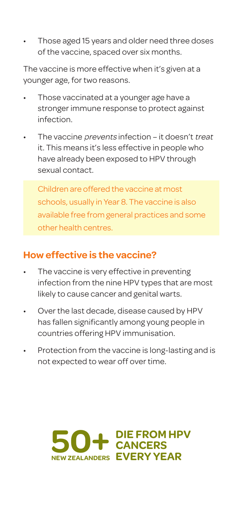• Those aged 15 years and older need three doses of the vaccine, spaced over six months.

The vaccine is more effective when it's given at a younger age, for two reasons.

- Those vaccinated at a younger age have a stronger immune response to protect against infection.
- The vaccine *prevents* infection it doesn't treat it. This means it's less effective in people who have already been exposed to HPV through sexual contact.

Children are offered the vaccine at most schools, usually in Year 8. The vaccine is also available free from general practices and some other health centres.

### **How effective is the vaccine?**

- The vaccine is very effective in preventing infection from the nine HPV types that are most likely to cause cancer and genital warts.
- Over the last decade, disease caused by HPV has fallen significantly among young people in countries offering HPV immunisation.
- Protection from the vaccine is long-lasting and is not expected to wear off over time.

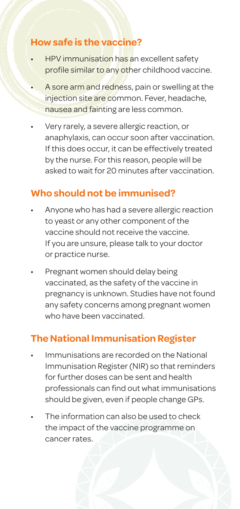#### **How safe is the vaccine?**

- HPV immunisation has an excellent safety profile similar to any other childhood vaccine.
- A sore arm and redness, pain or swelling at the injection site are common. Fever, headache, nausea and fainting are less common.
- Very rarely, a severe allergic reaction, or anaphylaxis, can occur soon after vaccination. If this does occur, it can be effectively treated by the nurse. For this reason, people will be asked to wait for 20 minutes after vaccination.

## **Who should not be immunised?**

- Anyone who has had a severe allergic reaction to yeast or any other component of the vaccine should not receive the vaccine. If you are unsure, please talk to your doctor or practice nurse.
- Pregnant women should delay being vaccinated, as the safety of the vaccine in pregnancy is unknown. Studies have not found any safety concerns among pregnant women who have been vaccinated.

#### **The National Immunisation Register**

- Immunisations are recorded on the National Immunisation Register (NIR) so that reminders for further doses can be sent and health professionals can find out what immunisations should be given, even if people change GPs.
- The information can also be used to check the impact of the vaccine programme on cancer rates.